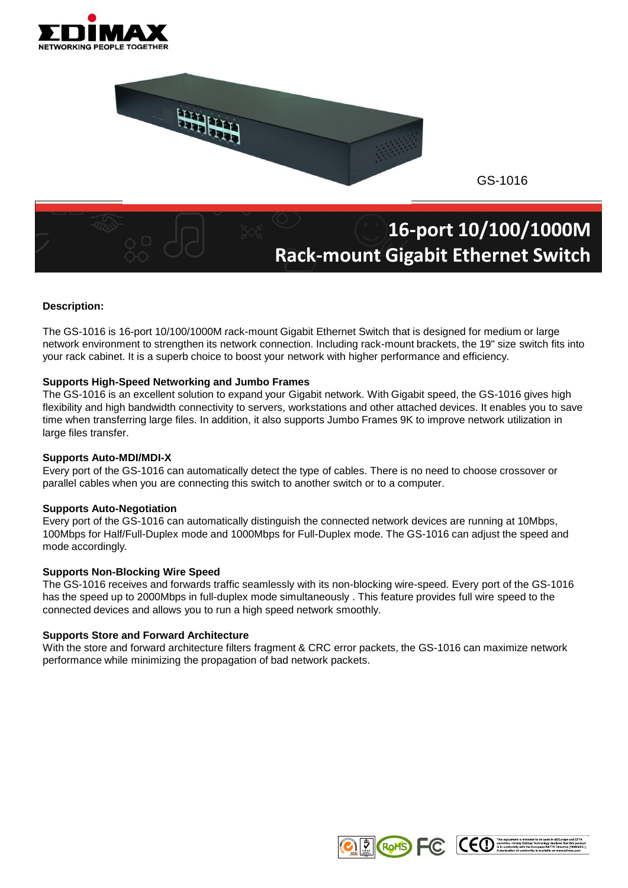



GS-1016

# **16-port 10/100/1000M Rack-mount Gigabit Ethernet Switch**

### **Description:**

The GS-1016 is 16-port 10/100/1000M rack-mount Gigabit Ethernet Switch that is designed for medium or large network environment to strengthen its network connection. Including rack-mount brackets, the 19" size switch fits into your rack cabinet. It is a superb choice to boost your network with higher performance and efficiency.

#### **Supports High-Speed Networking and Jumbo Frames**

The GS-1016 is an excellent solution to expand your Gigabit network. With Gigabit speed, the GS-1016 gives high flexibility and high bandwidth connectivity to servers, workstations and other attached devices. It enables you to save time when transferring large files. In addition, it also supports Jumbo Frames 9K to improve network utilization in large files transfer.

#### **Supports Auto-MDI/MDI-X**

Every port of the GS-1016 can automatically detect the type of cables. There is no need to choose crossover or parallel cables when you are connecting this switch to another switch or to a computer.

#### **Supports Auto-Negotiation**

Every port of the GS-1016 can automatically distinguish the connected network devices are running at 10Mbps, 100Mbps for Half/Full-Duplex mode and 1000Mbps for Full-Duplex mode. The GS-1016 can adjust the speed and mode accordingly.

#### **Supports Non-Blocking Wire Speed**

The GS-1016 receives and forwards traffic seamlessly with its non-blocking wire-speed. Every port of the GS-1016 has the speed up to 2000Mbps in full-duplex mode simultaneously . This feature provides full wire speed to the connected devices and allows you to run a high speed network smoothly.

#### **Supports Store and Forward Architecture**

With the store and forward architecture filters fragment & CRC error packets, the GS-1016 can maximize network performance while minimizing the propagation of bad network packets.